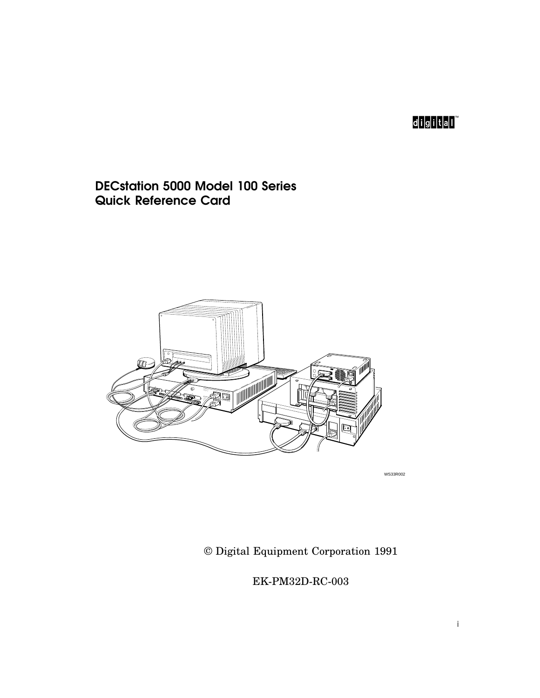## digital"

## DECstation 5000 Model 100 Series Quick Reference Card



WS33R002

© Digital Equipment Corporation 1991

EK-PM32D-RC-003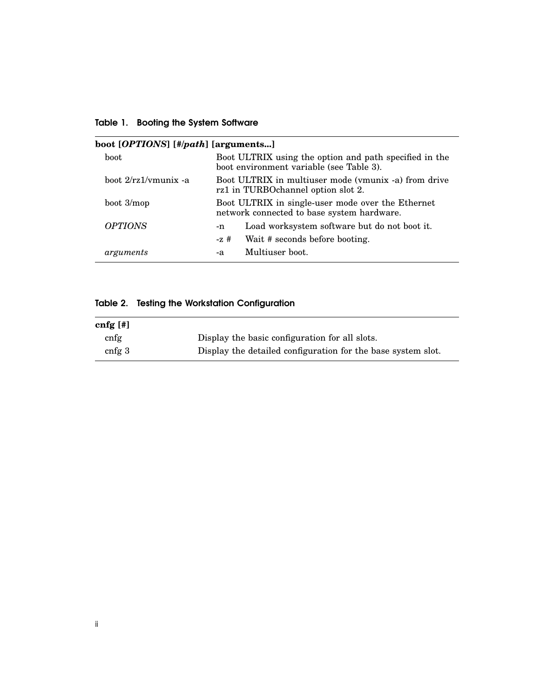| Table 1. Booting the System Software |  |
|--------------------------------------|--|
|--------------------------------------|--|

| Table 1. Booting the System Software                  |                                                                                                    |  |
|-------------------------------------------------------|----------------------------------------------------------------------------------------------------|--|
| boot [ <i>OPTIONS</i> ] [#/ <i>path</i> ] [arguments] |                                                                                                    |  |
| boot                                                  | Boot ULTRIX using the option and path specified in the<br>boot environment variable (see Table 3). |  |
| $boot. 2/rz1/munix -a$                                | Boot ULTRIX in multiuser mode (ymunix -a) from drive<br>rz1 in TURBOchannel option slot 2.         |  |
| boot 3/mop                                            | Boot ULTRIX in single-user mode over the Ethernet<br>network connected to base system hardware.    |  |
| <i><b>OPTIONS</b></i>                                 | Load worksystem software but do not boot it.<br>-n                                                 |  |
|                                                       | Wait # seconds before booting.<br>$-7.#$                                                           |  |
| arguments                                             | Multiuser boot.<br>-a                                                                              |  |

## Table 2. Testing the Workstation Configuration

| cnfg [!]          |                                                              |
|-------------------|--------------------------------------------------------------|
| cnfg              | Display the basic configuration for all slots.               |
| cnfg <sub>3</sub> | Display the detailed configuration for the base system slot. |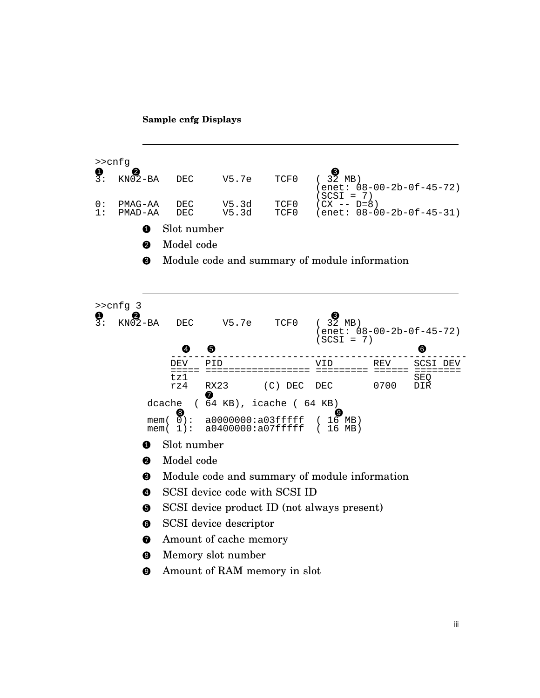## **Sample cnfg Displays** >>cnfg  $1$  2 3  $3$ 3: KN02-BA DEC V5.7e TCF0 ( 32 MB) (enet: 08-00-2b-0f-45-72)  $(SCSI = 7)$ 0: PMAG-AA DEC V5.3d TCF0 (CX -- D=8)  $(enet: 08-00-2b-0f-45-31)$ **1** Slot number **2** Model code <sup>3</sup> Module code and summary of module information >>cnfg 3 **0 0**<br>3: KN02-BA DEC V5.7e TCF0 (32 MB) (enet: 08-00-2b-0f-45-72)  $(SCSI = 7)$ 4 5 6 --------------------------------------------------- DEV PID VID REV SCSI DEV ===== ================== ========= ====== ======== tz1 SEQ rz4 RX23 (C) DEC DEC 0700 DIR 0 dcache ( 64 KB), icache ( 64 KB)<br>mem( 0): a0000000:a03fffff ( 16 **8**<br>mem( 0): a0000000:a03fffff ( 16 MB) mem(  $\overline{0}$ ): a0000000:a03ffffff ( 16 MB)<br>mem( 1): a0400000:a07fffff ( 16 MB) **1** Slot number <sup>2</sup> Model code <sup>3</sup> Module code and summary of module information <sup>4</sup> SCSI device code with SCSI ID <sup>5</sup> SCSI device product ID (not always present) **6** SCSI device descriptor **2** Amount of cache memory <sup>8</sup> Memory slot number <sup>9</sup> Amount of RAM memory in slot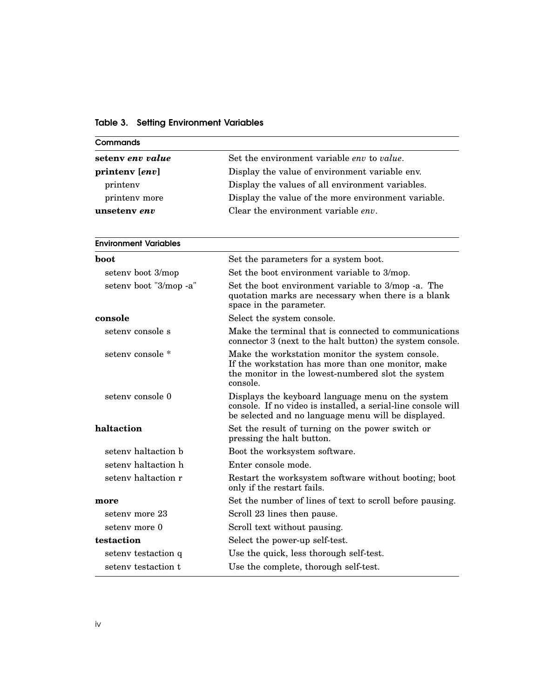|  |  |  | <b>Table 3. Setting Environment Variables</b> |  |
|--|--|--|-----------------------------------------------|--|
|--|--|--|-----------------------------------------------|--|

| Commands                     |                                                     |
|------------------------------|-----------------------------------------------------|
| seteny eny value             | Set the environment variable env to value.          |
| printeny [ <i>env</i> ]      | Display the value of environment variable env.      |
| printeny                     | Display the values of all environment variables.    |
| printeny more                | Display the value of the more environment variable. |
| unseteny <i>env</i>          | Clear the environment variable env.                 |
| <b>Environment Variables</b> |                                                     |
| boot                         | Set the parameters for a system boot.               |

| Set the parameters for a system boot.                                                                                                                                     |
|---------------------------------------------------------------------------------------------------------------------------------------------------------------------------|
| Set the boot environment variable to 3/mop.                                                                                                                               |
| Set the boot environment variable to 3/mop -a. The<br>quotation marks are necessary when there is a blank<br>space in the parameter.                                      |
| Select the system console.                                                                                                                                                |
| Make the terminal that is connected to communications<br>connector 3 (next to the halt button) the system console.                                                        |
| Make the workstation monitor the system console.<br>If the workstation has more than one monitor, make<br>the monitor in the lowest-numbered slot the system<br>console.  |
| Displays the keyboard language menu on the system<br>console. If no video is installed, a serial-line console will<br>be selected and no language menu will be displayed. |
| Set the result of turning on the power switch or<br>pressing the halt button.                                                                                             |
| Boot the worksystem software.                                                                                                                                             |
| Enter console mode.                                                                                                                                                       |
| Restart the worksystem software without booting; boot<br>only if the restart fails.                                                                                       |
| Set the number of lines of text to scroll before pausing.                                                                                                                 |
| Scroll 23 lines then pause.                                                                                                                                               |
| Scroll text without pausing.                                                                                                                                              |
| Select the power-up self-test.                                                                                                                                            |
| Use the quick, less thorough self-test.                                                                                                                                   |
| Use the complete, thorough self-test.                                                                                                                                     |
|                                                                                                                                                                           |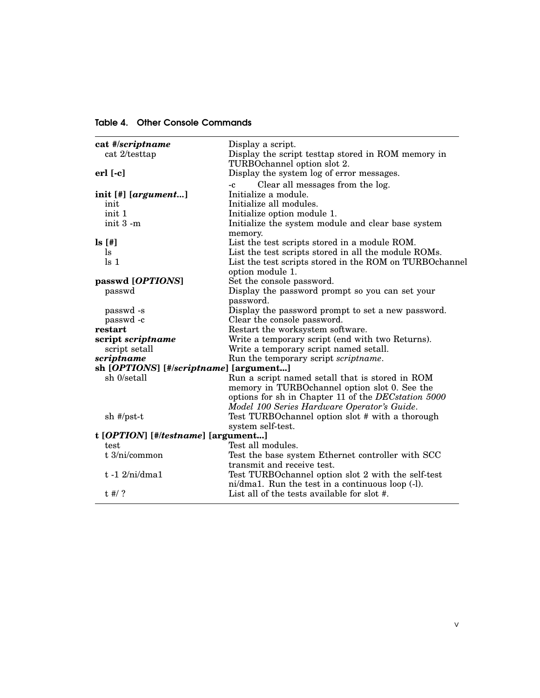| Table 4. Other Console Commands |  |
|---------------------------------|--|
|---------------------------------|--|

| cat #/scriptname<br>cat 2/testtap      | Display a script.<br>Display the script test ap stored in ROM memory in     |
|----------------------------------------|-----------------------------------------------------------------------------|
|                                        | TURBOchannel option slot 2.                                                 |
| $erl$ [-c]                             | Display the system log of error messages.                                   |
|                                        | Clear all messages from the log.<br>$-c$                                    |
| init [#] [argument]                    | Initialize a module.                                                        |
| init                                   | Initialize all modules.                                                     |
| init 1                                 | Initialize option module 1.                                                 |
| init 3 -m                              | Initialize the system module and clear base system<br>memory.               |
| $\mathbf{ls}$ [#]                      | List the test scripts stored in a module ROM.                               |
| <sup>1s</sup>                          | List the test scripts stored in all the module ROMs.                        |
| $\operatorname{ls} 1$                  | List the test scripts stored in the ROM on TURBOchannel<br>option module 1. |
| passwd [OPTIONS]                       | Set the console password.                                                   |
| passwd                                 | Display the password prompt so you can set your                             |
|                                        | password.                                                                   |
| passwd -s                              | Display the password prompt to set a new password.                          |
| passwd -c                              | Clear the console password.                                                 |
| restart                                | Restart the worksystem software.                                            |
| script scriptname                      | Write a temporary script (end with two Returns).                            |
| script setall                          | Write a temporary script named setall.                                      |
| scriptname                             | Run the temporary script scriptname.                                        |
| sh [OPTIONS] [#/scriptname] [argument] |                                                                             |
| sh 0/setall                            | Run a script named setall that is stored in ROM                             |
|                                        | memory in TURBOchannel option slot 0. See the                               |
|                                        | options for sh in Chapter 11 of the DECstation 5000                         |
|                                        | Model 100 Series Hardware Operator's Guide.                                 |
| $sh$ #/pst-t                           | Test TURBOchannel option slot # with a thorough                             |
|                                        | system self-test.                                                           |
| t $[OPTION]$ [#/testname] [argument]   |                                                                             |
| test                                   | Test all modules.                                                           |
| t 3/ni/common                          | Test the base system Ethernet controller with SCC                           |
|                                        | transmit and receive test.                                                  |
| $t - 1$ 2/ni/dma1                      | Test TURBOchannel option slot 2 with the self-test                          |
|                                        | ni/dma1. Run the test in a continuous loop (-l).                            |
| $t \#/?$                               | List all of the tests available for slot #.                                 |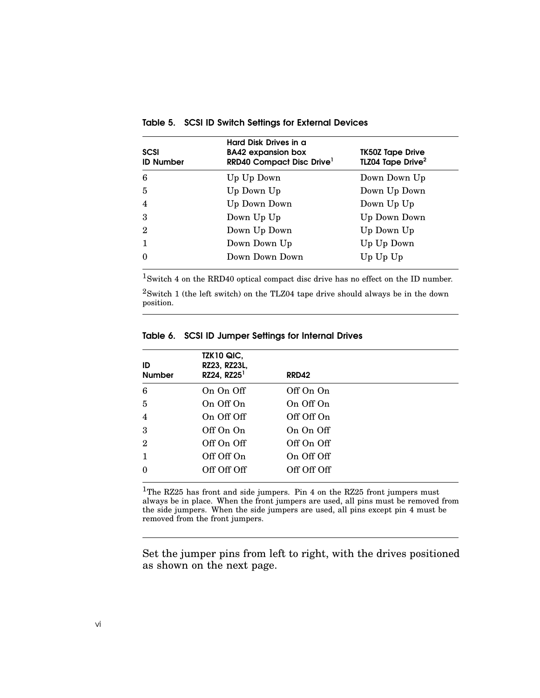| <b>SCSI</b><br><b>ID Number</b> | Hard Disk Drives in a<br><b>BA42 expansion box</b><br>RRD40 Compact Disc Drive <sup>1</sup> | <b>TK50Z Tape Drive</b><br>TLZ04 Tape Drive <sup>2</sup> |
|---------------------------------|---------------------------------------------------------------------------------------------|----------------------------------------------------------|
| 6                               | Up Up Down                                                                                  | Down Down Up                                             |
| 5                               | Up Down Up                                                                                  | Down Up Down                                             |
| 4                               | Up Down Down                                                                                | Down Up Up                                               |
| 3                               | Down Up Up                                                                                  | Up Down Down                                             |
| $\mathbf 2$                     | Down Up Down                                                                                | Up Down Up                                               |
|                                 | Down Down Up                                                                                | Up Up Down                                               |
| 0                               | Down Down Down                                                                              | Up Up Up                                                 |

Table 5. SCSI ID Switch Settings for External Devices

<sup>1</sup>Switch 4 on the RRD40 optical compact disc drive has no effect on the ID number.

 $^2\mathrm{Switch}$  1 (the left switch) on the TLZ04 tape drive should always be in the down position.

| ID             | <b>TZK10 QIC,</b><br>RZ23, RZ23L, |              |
|----------------|-----------------------------------|--------------|
| <b>Number</b>  | RZ24, RZ25 <sup>1</sup>           | <b>RRD42</b> |
| 6              | On On Off                         | Off On On    |
| 5              | On Off On                         | On Off On    |
| 4              | On Off Off                        | Off Off On   |
| 3              | Off On On                         | On On Off    |
| $\overline{2}$ | Off On Off                        | Off On Off   |
|                | Off Off On                        | On Off Off   |
| 0              | Off Off Off                       | Off Off Off  |

Table 6. SCSI ID Jumper Settings for Internal Drives

<sup>1</sup>The RZ25 has front and side jumpers. Pin 4 on the RZ25 front jumpers must always be in place. When the front jumpers are used, all pins must be removed from the side jumpers. When the side jumpers are used, all pins except pin 4 must be removed from the front jumpers.

Set the jumper pins from left to right, with the drives positioned as shown on the next page.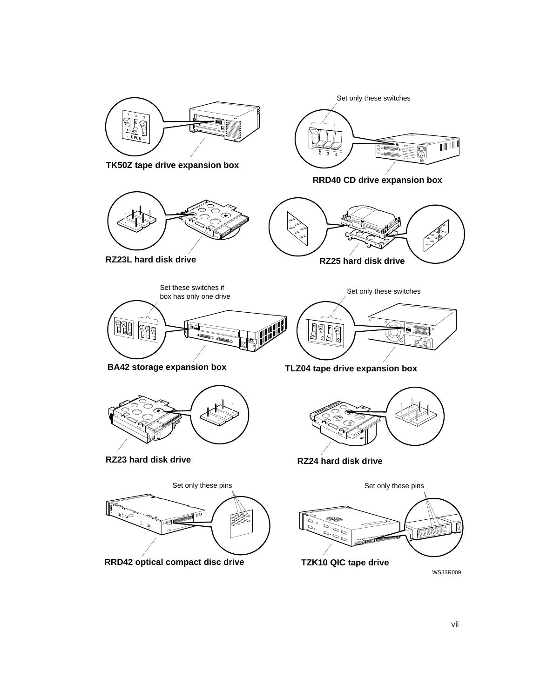

WS33R009